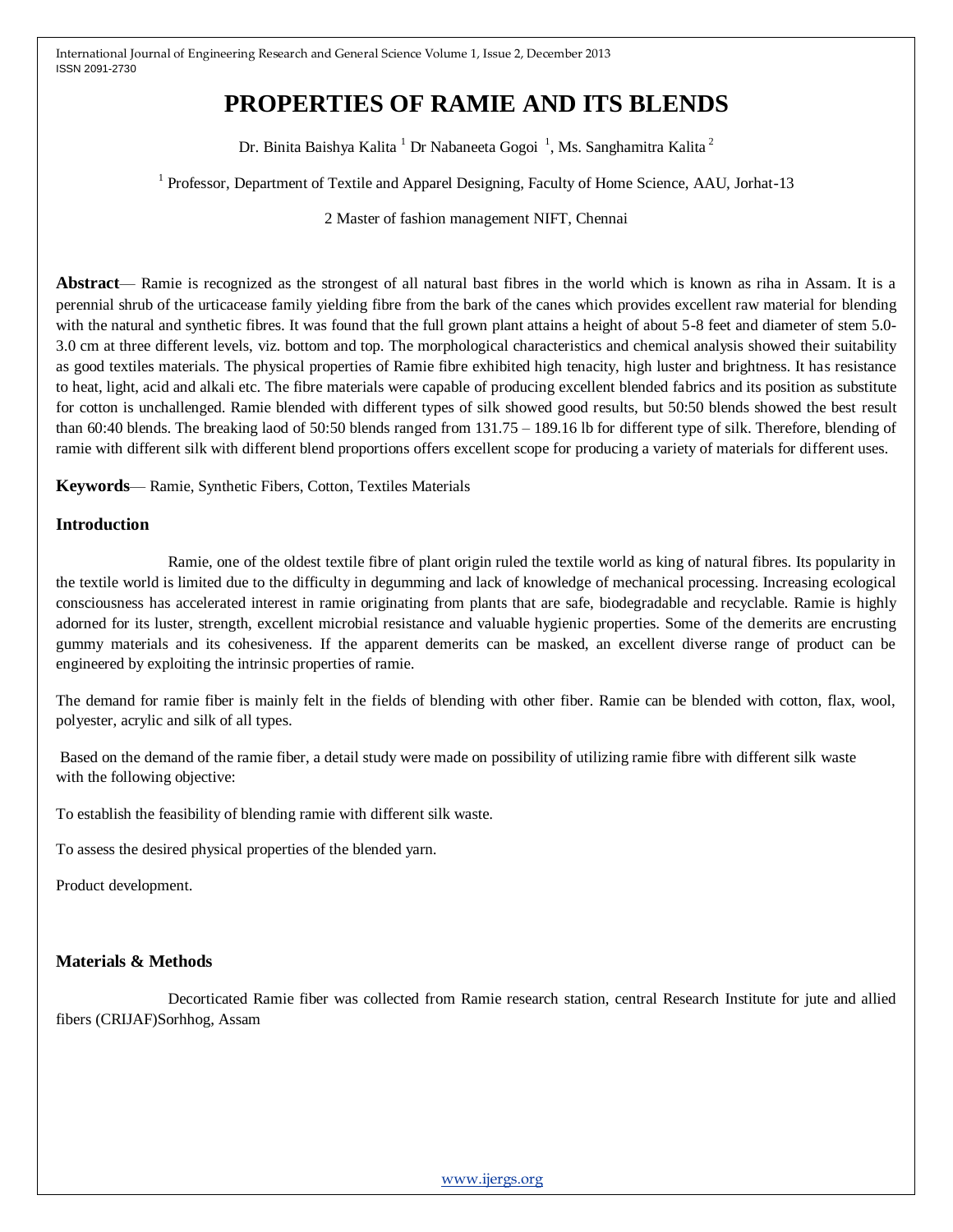# **PROPERTIES OF RAMIE AND ITS BLENDS**

Dr. Binita Baishya Kalita  $^1$  Dr Nabaneeta Gogoi  $^1$ , Ms. Sanghamitra Kalita  $^2$ 

<sup>1</sup> Professor, Department of Textile and Apparel Designing, Faculty of Home Science, AAU, Jorhat-13

2 Master of fashion management NIFT, Chennai

**Abstract**— Ramie is recognized as the strongest of all natural bast fibres in the world which is known as riha in Assam. It is a perennial shrub of the urticacease family yielding fibre from the bark of the canes which provides excellent raw material for blending with the natural and synthetic fibres. It was found that the full grown plant attains a height of about 5-8 feet and diameter of stem 5.0- 3.0 cm at three different levels, viz. bottom and top. The morphological characteristics and chemical analysis showed their suitability as good textiles materials. The physical properties of Ramie fibre exhibited high tenacity, high luster and brightness. It has resistance to heat, light, acid and alkali etc. The fibre materials were capable of producing excellent blended fabrics and its position as substitute for cotton is unchallenged. Ramie blended with different types of silk showed good results, but 50:50 blends showed the best result than 60:40 blends. The breaking laod of 50:50 blends ranged from 131.75 – 189.16 lb for different type of silk. Therefore, blending of ramie with different silk with different blend proportions offers excellent scope for producing a variety of materials for different uses.

**Keywords**— Ramie, Synthetic Fibers, Cotton, Textiles Materials

#### **Introduction**

Ramie, one of the oldest textile fibre of plant origin ruled the textile world as king of natural fibres. Its popularity in the textile world is limited due to the difficulty in degumming and lack of knowledge of mechanical processing. Increasing ecological consciousness has accelerated interest in ramie originating from plants that are safe, biodegradable and recyclable. Ramie is highly adorned for its luster, strength, excellent microbial resistance and valuable hygienic properties. Some of the demerits are encrusting gummy materials and its cohesiveness. If the apparent demerits can be masked, an excellent diverse range of product can be engineered by exploiting the intrinsic properties of ramie.

The demand for ramie fiber is mainly felt in the fields of blending with other fiber. Ramie can be blended with cotton, flax, wool, polyester, acrylic and silk of all types.

Based on the demand of the ramie fiber, a detail study were made on possibility of utilizing ramie fibre with different silk waste with the following objective:

To establish the feasibility of blending ramie with different silk waste.

To assess the desired physical properties of the blended yarn.

Product development.

## **Materials & Methods**

Decorticated Ramie fiber was collected from Ramie research station, central Research Institute for jute and allied fibers (CRIJAF)Sorhhog, Assam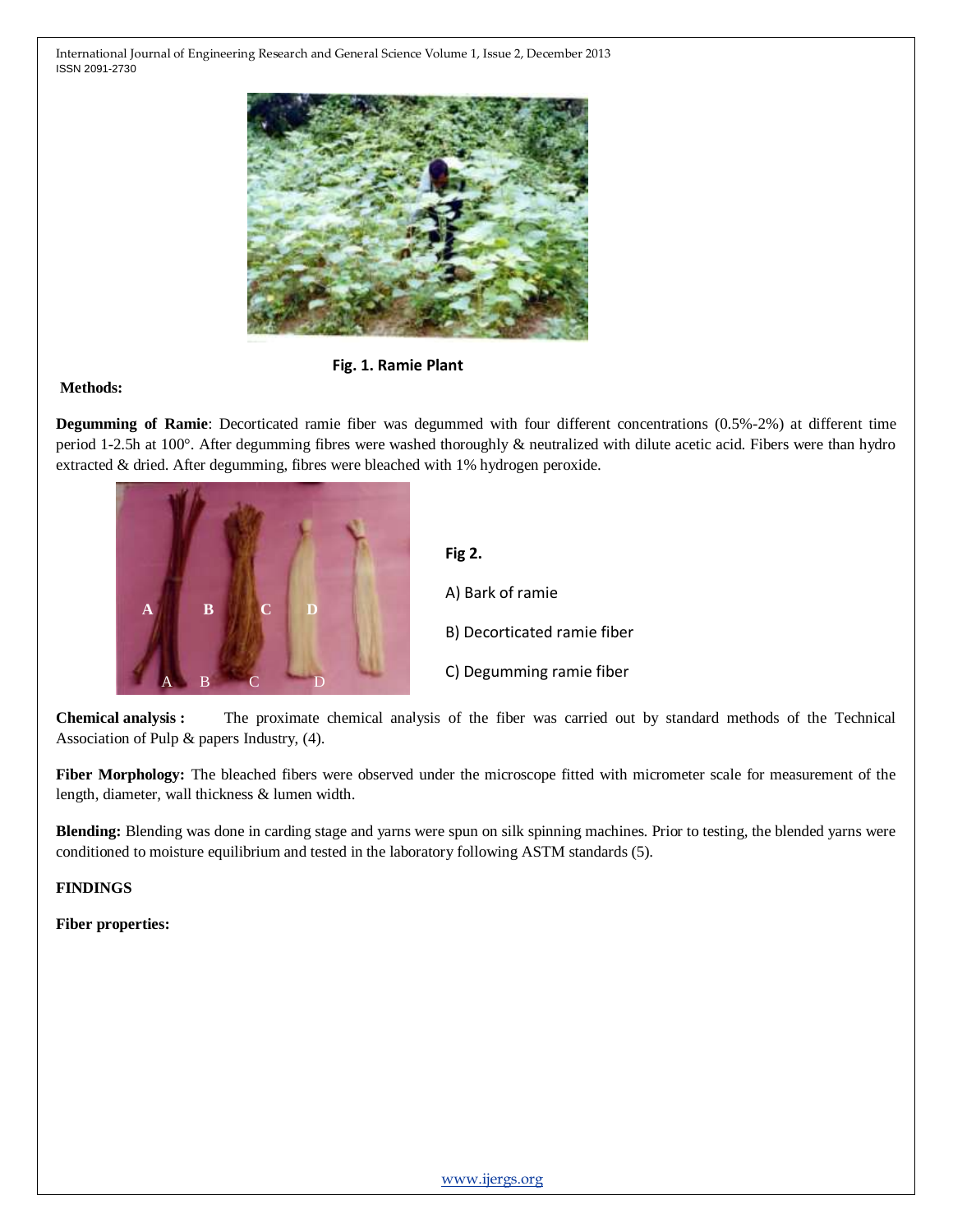

**Fig. 1. Ramie Plant**

## **Methods:**

**Degumming of Ramie**: Decorticated ramie fiber was degummed with four different concentrations (0.5%-2%) at different time period 1-2.5h at 100°. After degumming fibres were washed thoroughly & neutralized with dilute acetic acid. Fibers were than hydro extracted & dried. After degumming, fibres were bleached with 1% hydrogen peroxide.



**Fig 2.**  A) Bark of ramie B) Decorticated ramie fiber C) Degumming ramie fiber

**Chemical analysis :** The proximate chemical analysis of the fiber was carried out by standard methods of the Technical **c** Association of Pulp & papers Industry, (4). **a** of the fiber was carried

**Fiber Morphology:** The bleached fibers were observed under the microscope fitted with micrometer scale for measurement of the length, diameter, wall thickness & lumen width.

**Blending:** Blending was done in carding stage and yarns were spun on silk spinning machines. Prior to testing, the blended yarns were conditioned to moisture equilibrium and tested in the laboratory following ASTM standards (5).

**FINDINGS** 

**Fiber properties:**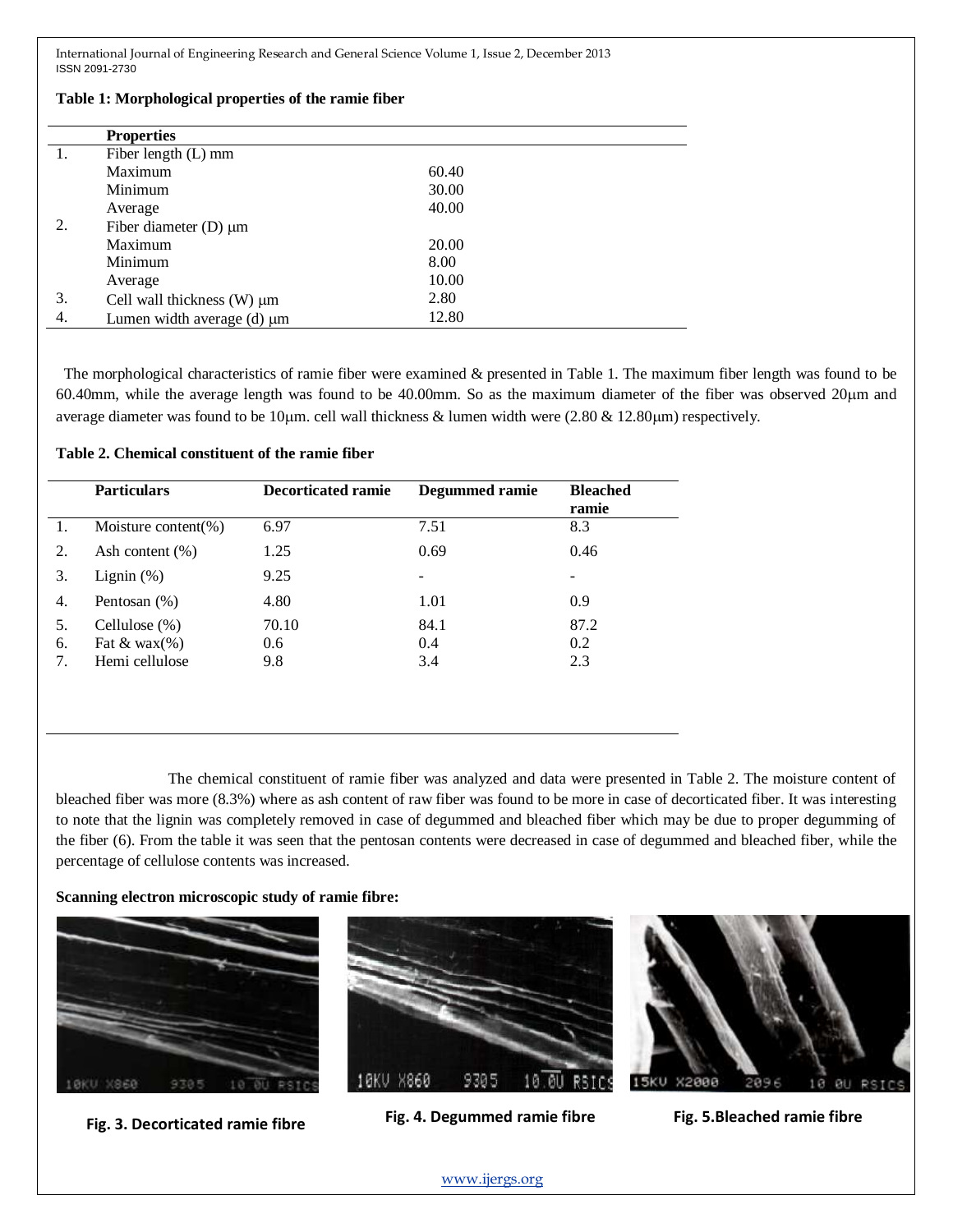|    | <b>Properties</b>                 |       |  |
|----|-----------------------------------|-------|--|
|    | Fiber length (L) mm               |       |  |
|    | Maximum                           | 60.40 |  |
|    | Minimum                           | 30.00 |  |
|    | Average                           | 40.00 |  |
| 2. | Fiber diameter $(D) \mu m$        |       |  |
|    | Maximum                           | 20.00 |  |
|    | Minimum                           | 8.00  |  |
|    | Average                           | 10.00 |  |
| 3. | Cell wall thickness $(W) \mu m$   | 2.80  |  |
| 4. | Lumen width average $(d)$ $\mu$ m | 12.80 |  |

#### **Table 1: Morphological properties of the ramie fiber**

The morphological characteristics of ramie fiber were examined & presented in Table 1. The maximum fiber length was found to be 60.40mm, while the average length was found to be 40.00mm. So as the maximum diameter of the fiber was observed 20m and average diameter was found to be 10 $\mu$ m. cell wall thickness & lumen width were (2.80 & 12.80 $\mu$ m) respectively.

| <b>Particulars</b>        | <b>Decorticated ramie</b> | Degummed ramie | <b>Bleached</b><br>ramie |
|---------------------------|---------------------------|----------------|--------------------------|
| Moisture content(%)       | 6.97                      | 7.51           | 8.3                      |
| 2.<br>Ash content $(\% )$ | 1.25                      | 0.69           | 0.46                     |
| 3.<br>Lignin $(\%)$       | 9.25                      |                | -                        |
| Pentosan (%)<br>4.        | 4.80                      | 1.01           | 0.9                      |
| Cellulose $(\%)$<br>5.    | 70.10                     | 84.1           | 87.2                     |
| 6.<br>Fat & wax $(\%)$    | 0.6                       | 0.4            | 0.2                      |
| Hemi cellulose<br>7.      | 9.8                       | 3.4            | 2.3                      |

The chemical constituent of ramie fiber was analyzed and data were presented in Table 2. The moisture content of bleached fiber was more (8.3%) where as ash content of raw fiber was found to be more in case of decorticated fiber. It was interesting to note that the lignin was completely removed in case of degummed and bleached fiber which may be due to proper degumming of the fiber (6). From the table it was seen that the pentosan contents were decreased in case of degummed and bleached fiber, while the percentage of cellulose contents was increased.

#### **Scanning electron microscopic study of ramie fibre:**





**Fig. 4. Degummed ramie fibre Fig. 3. Decorticated ramie fibre Fig. 5.Bleached ramie fibre** 



[www.ijergs.org](http://www.ijergs.org/)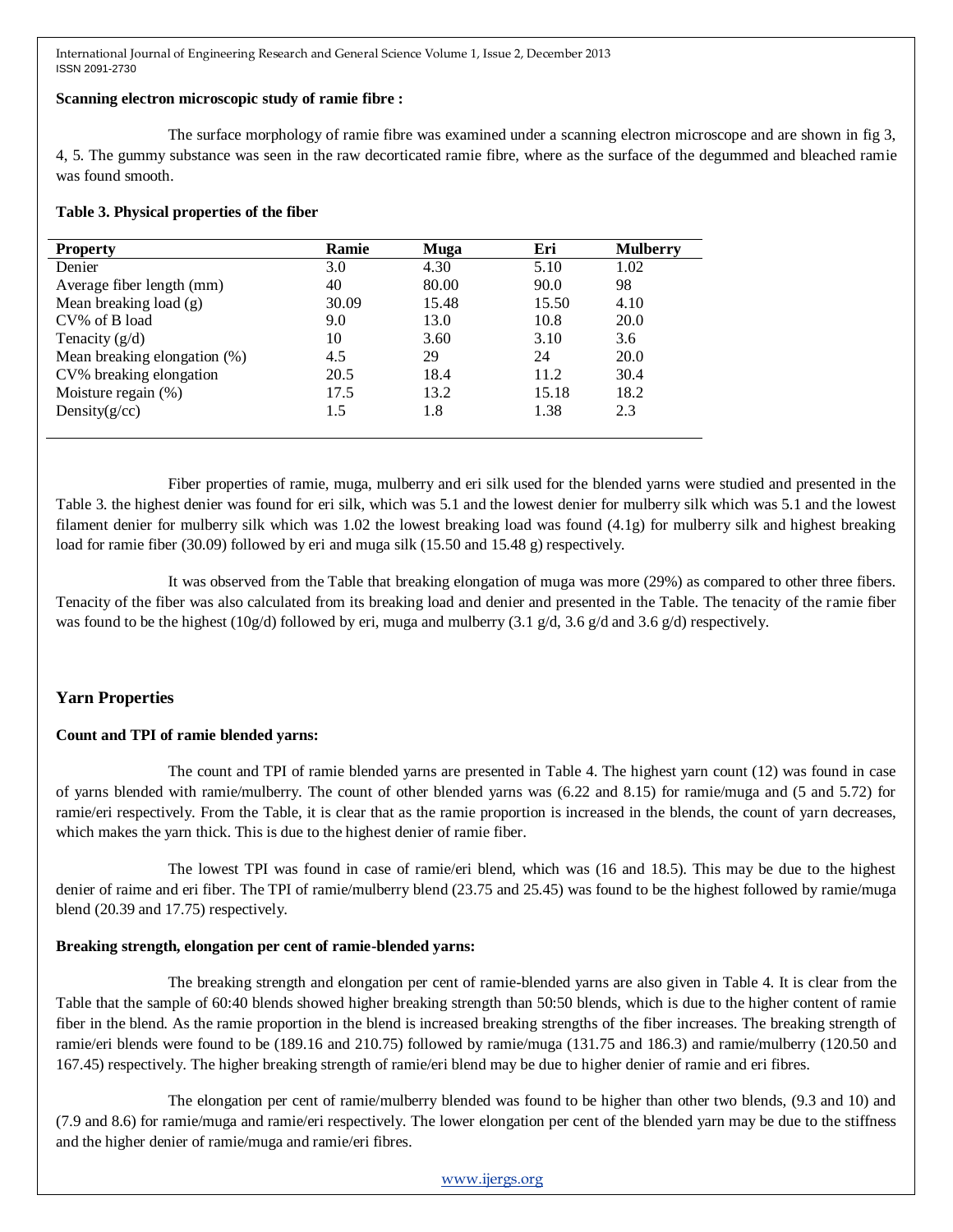## **Scanning electron microscopic study of ramie fibre :**

The surface morphology of ramie fibre was examined under a scanning electron microscope and are shown in fig 3, 4, 5. The gummy substance was seen in the raw decorticated ramie fibre, where as the surface of the degummed and bleached ramie was found smooth.

#### **Table 3. Physical properties of the fiber**

| <b>Property</b>              | <b>Ramie</b> | Muga  | Eri   | <b>Mulberry</b> |
|------------------------------|--------------|-------|-------|-----------------|
| Denier                       | 3.0          | 4.30  | 5.10  | 1.02            |
| Average fiber length (mm)    | 40           | 80.00 | 90.0  | 98              |
| Mean breaking load $(g)$     | 30.09        | 15.48 | 15.50 | 4.10            |
| CV% of B load                | 9.0          | 13.0  | 10.8  | 20.0            |
| Tenacity $(g/d)$             | 10           | 3.60  | 3.10  | 3.6             |
| Mean breaking elongation (%) | 4.5          | 29    | 24    | 20.0            |
| CV% breaking elongation      | 20.5         | 18.4  | 11.2  | 30.4            |
| Moisture regain (%)          | 17.5         | 13.2  | 15.18 | 18.2            |
| Density $(g/cc)$             | 1.5          | 1.8   | 1.38  | 2.3             |
|                              |              |       |       |                 |

Fiber properties of ramie, muga, mulberry and eri silk used for the blended yarns were studied and presented in the Table 3. the highest denier was found for eri silk, which was 5.1 and the lowest denier for mulberry silk which was 5.1 and the lowest filament denier for mulberry silk which was 1.02 the lowest breaking load was found (4.1g) for mulberry silk and highest breaking load for ramie fiber (30.09) followed by eri and muga silk (15.50 and 15.48 g) respectively.

It was observed from the Table that breaking elongation of muga was more (29%) as compared to other three fibers. Tenacity of the fiber was also calculated from its breaking load and denier and presented in the Table. The tenacity of the ramie fiber was found to be the highest (10g/d) followed by eri, muga and mulberry (3.1 g/d, 3.6 g/d and 3.6 g/d) respectively.

# **Yarn Properties**

## **Count and TPI of ramie blended yarns:**

The count and TPI of ramie blended yarns are presented in Table 4. The highest yarn count (12) was found in case of yarns blended with ramie/mulberry. The count of other blended yarns was (6.22 and 8.15) for ramie/muga and (5 and 5.72) for ramie/eri respectively. From the Table, it is clear that as the ramie proportion is increased in the blends, the count of yarn decreases, which makes the yarn thick. This is due to the highest denier of ramie fiber.

The lowest TPI was found in case of ramie/eri blend, which was (16 and 18.5). This may be due to the highest denier of raime and eri fiber. The TPI of ramie/mulberry blend (23.75 and 25.45) was found to be the highest followed by ramie/muga blend (20.39 and 17.75) respectively.

## **Breaking strength, elongation per cent of ramie-blended yarns:**

The breaking strength and elongation per cent of ramie-blended yarns are also given in Table 4. It is clear from the Table that the sample of 60:40 blends showed higher breaking strength than 50:50 blends, which is due to the higher content of ramie fiber in the blend. As the ramie proportion in the blend is increased breaking strengths of the fiber increases. The breaking strength of ramie/eri blends were found to be (189.16 and 210.75) followed by ramie/muga (131.75 and 186.3) and ramie/mulberry (120.50 and 167.45) respectively. The higher breaking strength of ramie/eri blend may be due to higher denier of ramie and eri fibres.

The elongation per cent of ramie/mulberry blended was found to be higher than other two blends, (9.3 and 10) and (7.9 and 8.6) for ramie/muga and ramie/eri respectively. The lower elongation per cent of the blended yarn may be due to the stiffness and the higher denier of ramie/muga and ramie/eri fibres.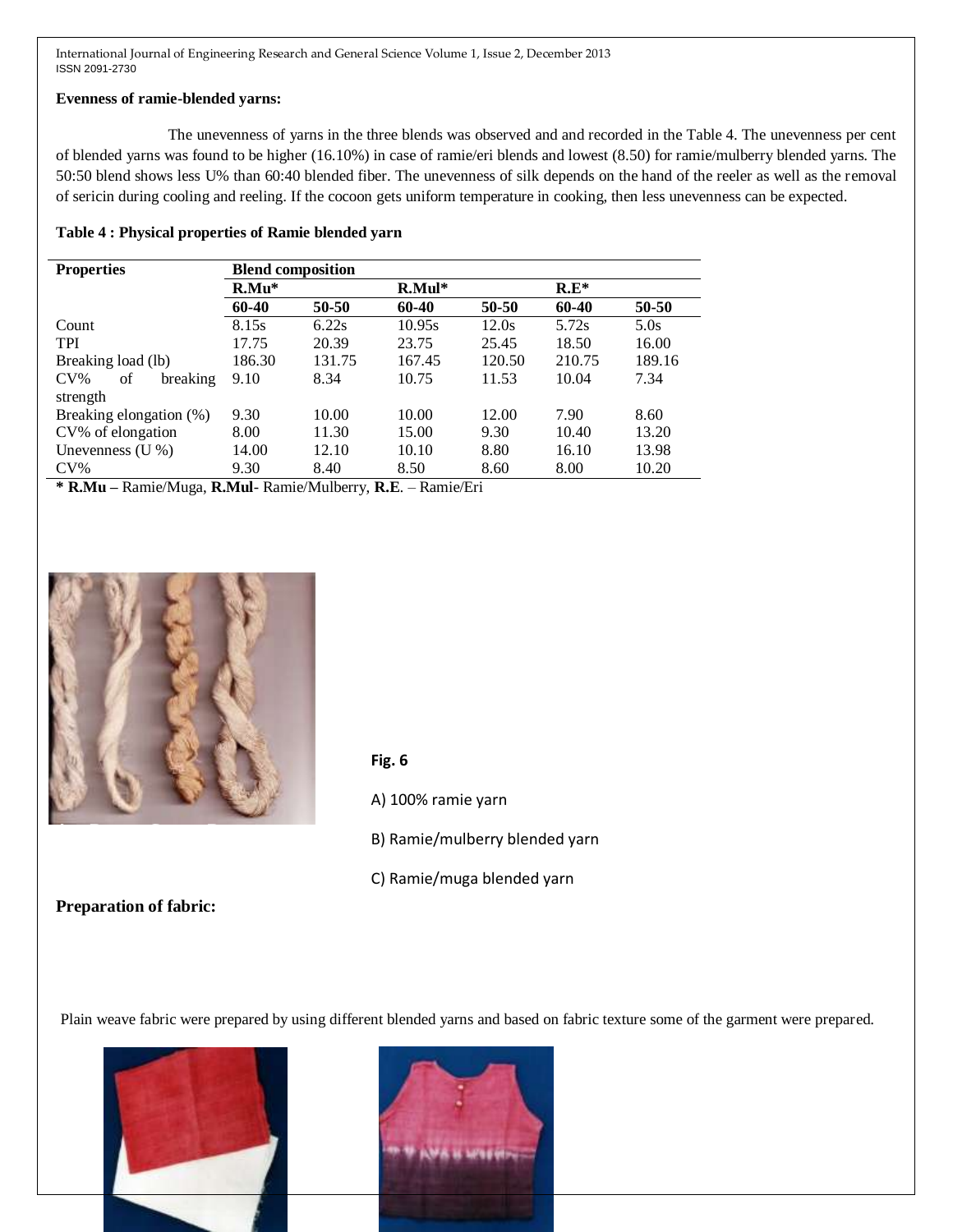#### **Evenness of ramie-blended yarns:**

The unevenness of yarns in the three blends was observed and and recorded in the Table 4. The unevenness per cent of blended yarns was found to be higher (16.10%) in case of ramie/eri blends and lowest (8.50) for ramie/mulberry blended yarns. The 50:50 blend shows less U% than 60:40 blended fiber. The unevenness of silk depends on the hand of the reeler as well as the removal of sericin during cooling and reeling. If the cocoon gets uniform temperature in cooking, then less unevenness can be expected.

#### **Table 4 : Physical properties of Ramie blended yarn**

| <b>Properties</b>        | <b>Blend composition</b> |        |          |        |         |        |
|--------------------------|--------------------------|--------|----------|--------|---------|--------|
|                          | $R.Mu*$                  |        | $R.Mul*$ |        | $R.E^*$ |        |
|                          | 60-40                    | 50-50  | 60-40    | 50-50  | 60-40   | 50-50  |
| Count                    | 8.15s                    | 6.22s  | 10.95s   | 12.0s  | 5.72s   | 5.0s   |
| <b>TPI</b>               | 17.75                    | 20.39  | 23.75    | 25.45  | 18.50   | 16.00  |
| Breaking load (lb)       | 186.30                   | 131.75 | 167.45   | 120.50 | 210.75  | 189.16 |
| $CV\%$<br>of<br>breaking | 9.10                     | 8.34   | 10.75    | 11.53  | 10.04   | 7.34   |
| strength                 |                          |        |          |        |         |        |
| Breaking elongation (%)  | 9.30                     | 10.00  | 10.00    | 12.00  | 7.90    | 8.60   |
| CV% of elongation        | 8.00                     | 11.30  | 15.00    | 9.30   | 10.40   | 13.20  |
| Unevenness $(U %)$       | 14.00                    | 12.10  | 10.10    | 8.80   | 16.10   | 13.98  |
| $CV\%$                   | 9.30                     | 8.40   | 8.50     | 8.60   | 8.00    | 10.20  |

**\* R.Mu –** Ramie/Muga, **R.Mul**- Ramie/Mulberry, **R.E**. – Ramie/Eri



## **Fig. 6**

- A) 100% ramie yarn A **B**
- B) Ramie/mulberry blended yarn
- C) Ramie/muga blended yarn

# **Preparation of fabric:**

Plain weave fabric were prepared by using different blended yarns and based on fabric texture some of the garment were prepared.